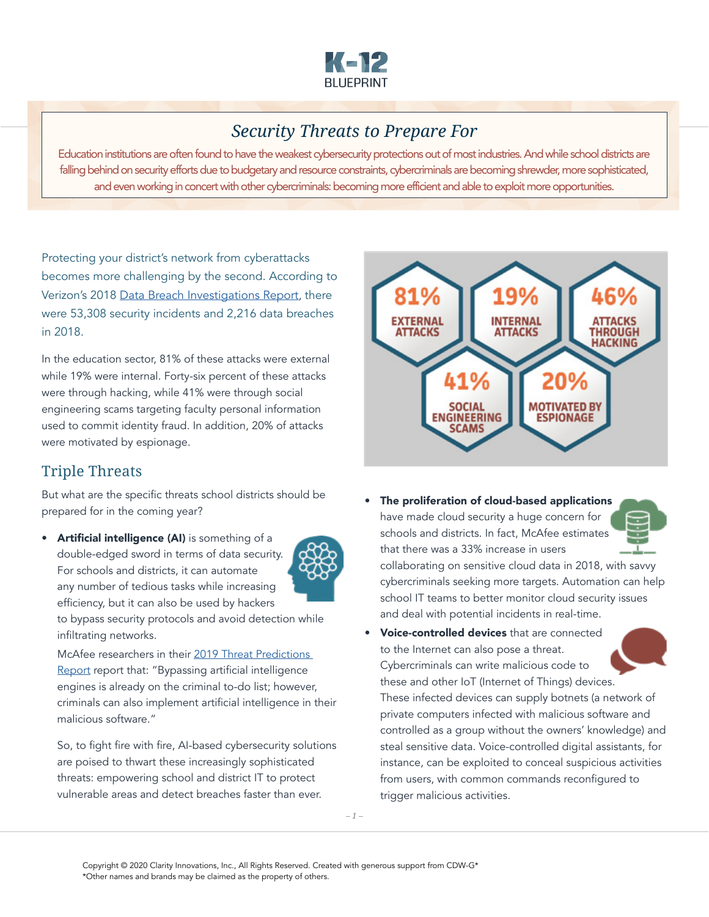

## *Security Threats to Prepare For*

Education institutions are often found to have the weakest cybersecurity protections out of most industries. And while school districts are falling behind on security efforts due to budgetary and resource constraints, cybercriminals are becoming shrewder, more sophisticated, and even working in concert with other cybercriminals: becoming more efficient and able to exploit more opportunities.

Protecting your district's network from cyberattacks becomes more challenging by the second. According to Verizon's 2018 [Data Breach Investigations Report](https://enterprise.verizon.com/resources/reports/DBIR_2018_Report_execsummary.pdf), there were 53,308 security incidents and 2,216 data breaches in 2018.

In the education sector, 81% of these attacks were external while 19% were internal. Forty-six percent of these attacks were through hacking, while 41% were through social engineering scams targeting faculty personal information used to commit identity fraud. In addition, 20% of attacks were motivated by espionage.

## Triple Threats

But what are the specific threats school districts should be prepared for in the coming year?

• Artificial intelligence (AI) is something of a double-edged sword in terms of data security. For schools and districts, it can automate any number of tedious tasks while increasing efficiency, but it can also be used by hackers



to bypass security protocols and avoid detection while infiltrating networks.

McAfee researchers in their 2019 Threat Predictions [Report](https://www.mcafee.com/blogs/other-blogs/mcafee-labs/mcafee-labs-2019-threats-predictions/) report that: "Bypassing artificial intelligence engines is already on the criminal to-do list; however, criminals can also implement artificial intelligence in their malicious software."

So, to fight fire with fire, AI-based cybersecurity solutions are poised to thwart these increasingly sophisticated threats: empowering school and district IT to protect vulnerable areas and detect breaches faster than ever.



• The proliferation of cloud-based applications have made cloud security a huge concern for schools and districts. In fact, McAfee estimates that there was a 33% increase in users

collaborating on sensitive cloud data in 2018, with savvy cybercriminals seeking more targets. Automation can help school IT teams to better monitor cloud security issues and deal with potential incidents in real-time.

• Voice-controlled devices that are connected to the Internet can also pose a threat. Cybercriminals can write malicious code to these and other IoT (Internet of Things) devices.

These infected devices can supply botnets (a network of private computers infected with malicious software and controlled as a group without the owners' knowledge) and steal sensitive data. Voice-controlled digital assistants, for instance, can be exploited to conceal suspicious activities from users, with common commands reconfigured to trigger malicious activities.

*– 1 –*